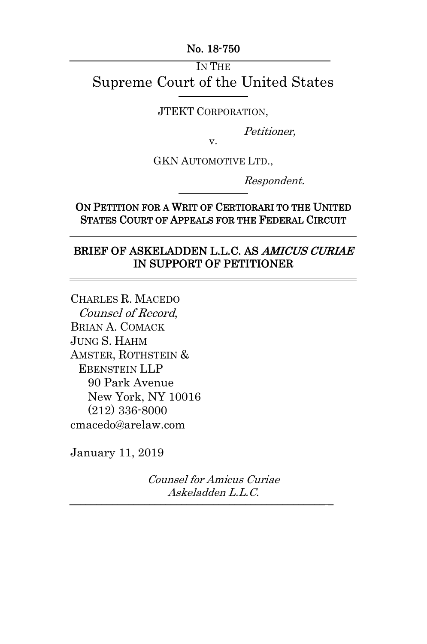No. 18-750 \_\_\_\_\_\_\_\_\_\_\_\_\_\_\_\_\_\_\_\_\_\_\_\_\_\_\_\_\_\_\_\_\_\_\_\_\_\_\_\_\_\_\_\_\_\_\_\_\_

IN THE Supreme Court of the United States

JTEKT CORPORATION,

Petitioner,

v.

GKN AUTOMOTIVE LTD.,

Respondent.

ON PETITION FOR A WRIT OF CERTIORARI TO THE UNITED STATES COURT OF APPEALS FOR THE FEDERAL CIRCUIT

#### BRIEF OF ASKELADDEN L.L.C. AS AMICUS CURIAE IN SUPPORT OF PETITIONER

CHARLES R. MACEDO Counsel of Record, BRIAN A. COMACK JUNG S. HAHM AMSTER, ROTHSTEIN & EBENSTEIN LLP 90 Park Avenue New York, NY 10016 (212) 336-8000 cmacedo@arelaw.com

 $\overline{a}$ 

 $\overline{a}$ 

-

January 11, 2019

Counsel for Amicus Curiae Askeladden L.L.C.  $\frac{1}{2}$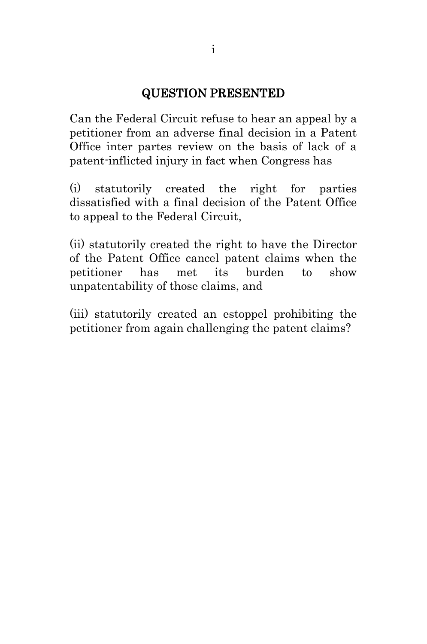#### QUESTION PRESENTED

Can the Federal Circuit refuse to hear an appeal by a petitioner from an adverse final decision in a Patent Office inter partes review on the basis of lack of a patent-inflicted injury in fact when Congress has

(i) statutorily created the right for parties dissatisfied with a final decision of the Patent Office to appeal to the Federal Circuit,

(ii) statutorily created the right to have the Director of the Patent Office cancel patent claims when the petitioner has met its burden to show unpatentability of those claims, and

(iii) statutorily created an estoppel prohibiting the petitioner from again challenging the patent claims?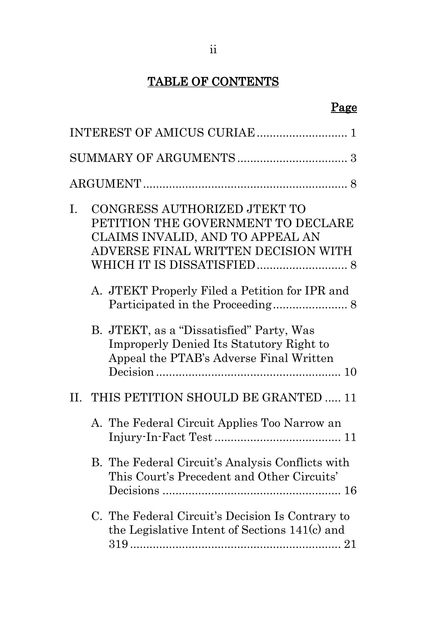# TABLE OF CONTENTS

# Page

| I. | CONGRESS AUTHORIZED JTEKT TO<br>PETITION THE GOVERNMENT TO DECLARE<br>CLAIMS INVALID, AND TO APPEAL AN<br>ADVERSE FINAL WRITTEN DECISION WITH |
|----|-----------------------------------------------------------------------------------------------------------------------------------------------|
|    | A. JTEKT Properly Filed a Petition for IPR and                                                                                                |
|    | B. JTEKT, as a "Dissatisfied" Party, Was<br><b>Improperly Denied Its Statutory Right to</b><br>Appeal the PTAB's Adverse Final Written        |
|    | II. THIS PETITION SHOULD BE GRANTED  11                                                                                                       |
|    | A. The Federal Circuit Applies Too Narrow an                                                                                                  |
|    | B. The Federal Circuit's Analysis Conflicts with<br>This Court's Precedent and Other Circuits'                                                |
|    | C. The Federal Circuit's Decision Is Contrary to<br>the Legislative Intent of Sections 141(c) and                                             |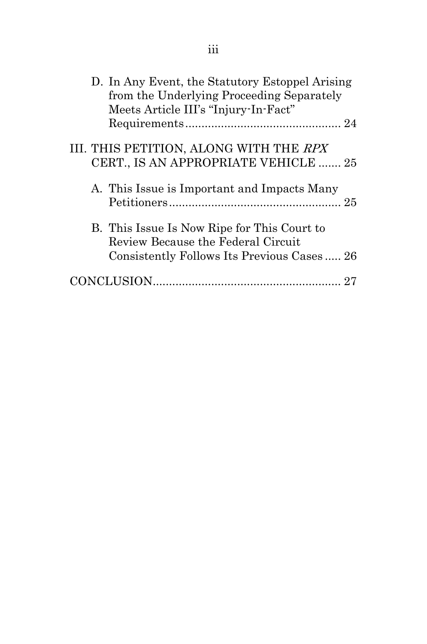| D. In Any Event, the Statutory Estoppel Arising<br>from the Underlying Proceeding Separately |
|----------------------------------------------------------------------------------------------|
| Meets Article III's "Injury-In-Fact"                                                         |
|                                                                                              |
| III. THIS PETITION, ALONG WITH THE RPX                                                       |
| CERT., IS AN APPROPRIATE VEHICLE  25                                                         |
| A. This Issue is Important and Impacts Many                                                  |
| B. This Issue Is Now Ripe for This Court to<br>Review Because the Federal Circuit            |
| Consistently Follows Its Previous Cases 26                                                   |
|                                                                                              |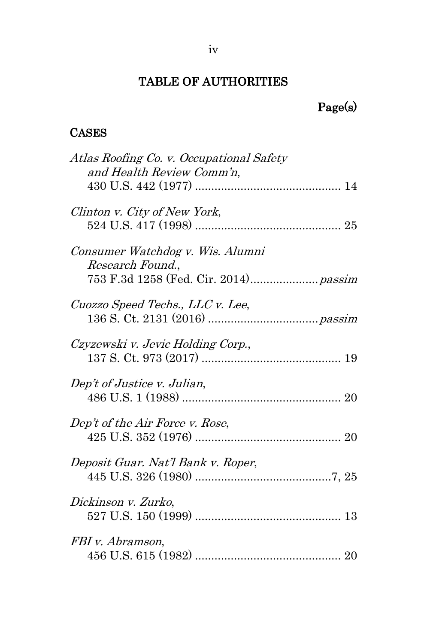## TABLE OF AUTHORITIES

# Page(s)

### **CASES**

| Atlas Roofing Co. v. Occupational Safety<br>and Health Review Comm'n,                         |
|-----------------------------------------------------------------------------------------------|
|                                                                                               |
| Clinton v. City of New York,                                                                  |
| Consumer Watchdog v. Wis. Alumni<br>Research Found.,<br>753 F.3d 1258 (Fed. Cir. 2014) passim |
| Cuozzo Speed Techs., LLC v. Lee,                                                              |
| Czyzewski v. Jevic Holding Corp.,                                                             |
| Dep't of Justice v. Julian,                                                                   |
| Dep't of the Air Force v. Rose,                                                               |
| Deposit Guar. Nat'l Bank v. Roper,                                                            |
| Dickinson v. Zurko,                                                                           |
| FBI v. Abramson,                                                                              |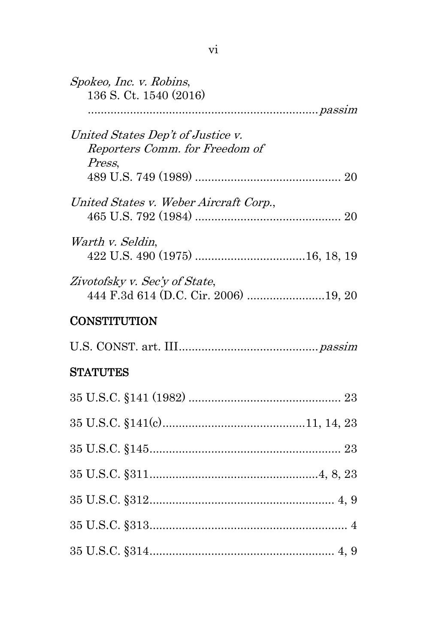| Spokeo, Inc. v. Robins,<br>136 S. Ct. 1540 (2016)                             |  |
|-------------------------------------------------------------------------------|--|
|                                                                               |  |
| United States Dep't of Justice v.<br>Reporters Comm. for Freedom of<br>Press, |  |
|                                                                               |  |
| United States v. Weber Aircraft Corp.,                                        |  |
| Warth v. Seldin,                                                              |  |
| Zivotofsky v. Sec'y of State,<br>444 F.3d 614 (D.C. Cir. 2006) 19, 20         |  |

## **CONSTITUTION**

## **STATUTES**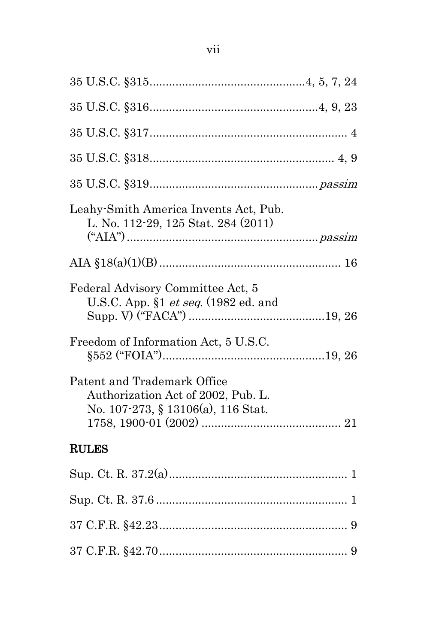| Leahy-Smith America Invents Act, Pub.<br>L. No. 112-29, 125 Stat. 284 (2011)                            |
|---------------------------------------------------------------------------------------------------------|
|                                                                                                         |
| Federal Advisory Committee Act, 5<br>U.S.C. App. $$1 \text{ et seq.}$ (1982 ed. and                     |
| Freedom of Information Act, 5 U.S.C.                                                                    |
| Patent and Trademark Office<br>Authorization Act of 2002, Pub. L.<br>No. 107-273, § 13106(a), 116 Stat. |
| <b>RULES</b>                                                                                            |
|                                                                                                         |
|                                                                                                         |
|                                                                                                         |
|                                                                                                         |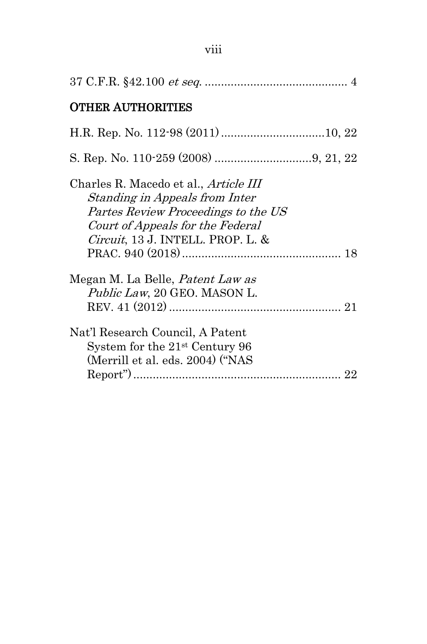| <b>OTHER AUTHORITIES</b>                                                                                                                                                                               |
|--------------------------------------------------------------------------------------------------------------------------------------------------------------------------------------------------------|
|                                                                                                                                                                                                        |
|                                                                                                                                                                                                        |
| Charles R. Macedo et al., <i>Article III</i><br>Standing in Appeals from Inter<br>Partes Review Proceedings to the US<br>Court of Appeals for the Federal<br><i>Circuit</i> , 13 J. INTELL. PROP. L. & |
| Megan M. La Belle, <i>Patent Law as</i><br><i>Public Law</i> , 20 GEO. MASON L.                                                                                                                        |
| Nat'l Research Council, A Patent<br>System for the $21st$ Century 96<br>(Merrill et al. eds. 2004) ("NAS                                                                                               |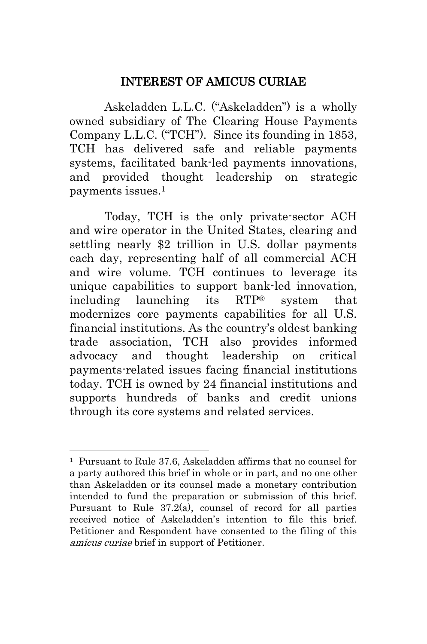#### INTEREST OF AMICUS CURIAE

<span id="page-9-0"></span>Askeladden L.L.C. ("Askeladden") is a wholly owned subsidiary of The Clearing House Payments Company L.L.C. ("TCH"). Since its founding in 1853, TCH has delivered safe and reliable payments systems, facilitated bank-led payments innovations, and provided thought leadership on strategic payments issues.<sup>1</sup>

Today, TCH is the only private-sector ACH and wire operator in the United States, clearing and settling nearly \$2 trillion in U.S. dollar payments each day, representing half of all commercial ACH and wire volume. TCH continues to leverage its unique capabilities to support bank-led innovation, including launching its RTP® system that modernizes core payments capabilities for all U.S. financial institutions. As the country's oldest banking trade association, TCH also provides informed advocacy and thought leadership on critical payments-related issues facing financial institutions today. TCH is owned by 24 financial institutions and supports hundreds of banks and credit unions through its core systems and related services.

-

<span id="page-9-2"></span><span id="page-9-1"></span><sup>1</sup> Pursuant to Rule 37.6, Askeladden affirms that no counsel for a party authored this brief in whole or in part, and no one other than Askeladden or its counsel made a monetary contribution intended to fund the preparation or submission of this brief. Pursuant to Rule 37.2(a), counsel of record for all parties received notice of Askeladden's intention to file this brief. Petitioner and Respondent have consented to the filing of this amicus curiae brief in support of Petitioner.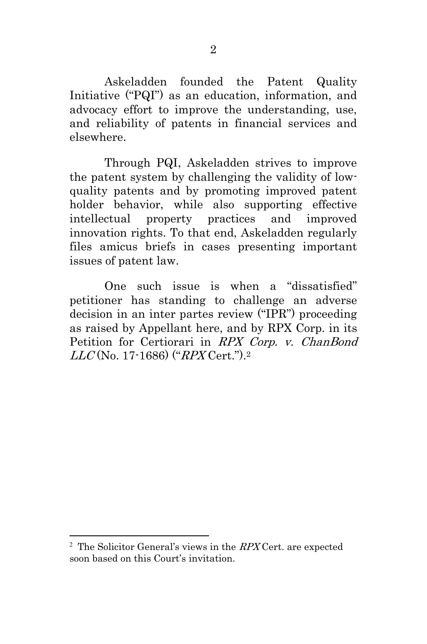Askeladden founded the Patent Quality Initiative ("PQI") as an education, information, and advocacy effort to improve the understanding, use, and reliability of patents in financial services and elsewhere.

Through PQI, Askeladden strives to improve the patent system by challenging the validity of lowquality patents and by promoting improved patent holder behavior, while also supporting effective intellectual property practices and improved innovation rights. To that end, Askeladden regularly files amicus briefs in cases presenting important issues of patent law.

One such issue is when a "dissatisfied" petitioner has standing to challenge an adverse decision in an inter partes review ("IPR") proceeding as raised by Appellant here, and by RPX Corp. in its Petition for Certiorari in RPX Corp. v. ChanBond  $LLC({\rm No.~17\text{-}1686})$  (" $RPX\mathrm{Cert.}$ ").2

-

<sup>&</sup>lt;sup>2</sup> The Solicitor General's views in the RPX Cert. are expected soon based on this Court's invitation.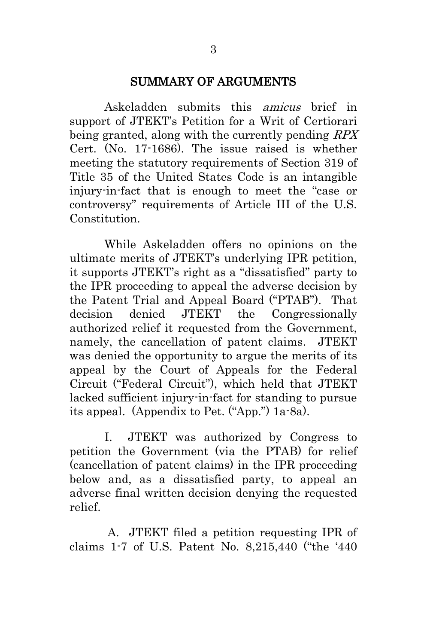#### <span id="page-11-2"></span><span id="page-11-1"></span>SUMMARY OF ARGUMENTS

<span id="page-11-0"></span>Askeladden submits this amicus brief in support of JTEKT's Petition for a Writ of Certiorari being granted, along with the currently pending RPX Cert. (No. 17-1686). The issue raised is whether meeting the statutory requirements of Section 319 of Title 35 of the United States Code is an intangible injury-in-fact that is enough to meet the "case or controversy" requirements of Article III of the U.S. Constitution.

While Askeladden offers no opinions on the ultimate merits of JTEKT's underlying IPR petition, it supports JTEKT's right as a "dissatisfied" party to the IPR proceeding to appeal the adverse decision by the Patent Trial and Appeal Board ("PTAB"). That decision denied JTEKT the Congressionally authorized relief it requested from the Government, namely, the cancellation of patent claims. JTEKT was denied the opportunity to argue the merits of its appeal by the Court of Appeals for the Federal Circuit ("Federal Circuit"), which held that JTEKT lacked sufficient injury-in-fact for standing to pursue its appeal. (Appendix to Pet. ("App.") 1a-8a).

I. JTEKT was authorized by Congress to petition the Government (via the PTAB) for relief (cancellation of patent claims) in the IPR proceeding below and, as a dissatisfied party, to appeal an adverse final written decision denying the requested relief.

A. JTEKT filed a petition requesting IPR of claims 1-7 of U.S. Patent No. 8,215,440 ("the '440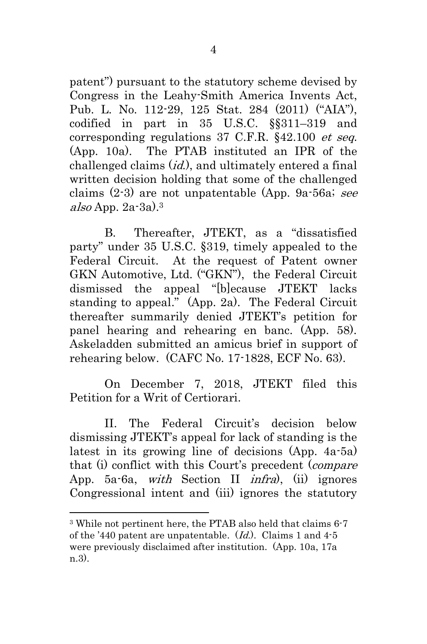<span id="page-12-1"></span><span id="page-12-0"></span>patent") pursuant to the statutory scheme devised by Congress in the Leahy-Smith America Invents Act, Pub. L. No. 112-29, 125 Stat. 284 (2011) ("AIA"), codified in part in 35 U.S.C. §§311–319 and corresponding regulations 37 C.F.R. §42.100 et seq. (App. 10a). The PTAB instituted an IPR of the challenged claims (*id.*), and ultimately entered a final written decision holding that some of the challenged claims  $(2-3)$  are not unpatentable (App. 9a-56a; see also App.  $2a-3a$ ). $3$ 

B. Thereafter, JTEKT, as a "dissatisfied party" under 35 U.S.C. §319, timely appealed to the Federal Circuit. At the request of Patent owner GKN Automotive, Ltd. ("GKN"), the Federal Circuit dismissed the appeal "[b]ecause JTEKT lacks standing to appeal." (App. 2a). The Federal Circuit thereafter summarily denied JTEKT's petition for panel hearing and rehearing en banc. (App. 58). Askeladden submitted an amicus brief in support of rehearing below. (CAFC No. 17-1828, ECF No. 63).

On December 7, 2018, JTEKT filed this Petition for a Writ of Certiorari.

II. The Federal Circuit's decision below dismissing JTEKT's appeal for lack of standing is the latest in its growing line of decisions (App. 4a-5a) that (i) conflict with this Court's precedent (compare App. 5a-6a, with Section II infra), (ii) ignores Congressional intent and (iii) ignores the statutory

-

<sup>3</sup> While not pertinent here, the PTAB also held that claims 6-7 of the '440 patent are unpatentable.  $(Id)$ . Claims 1 and 4-5 were previously disclaimed after institution. (App. 10a, 17a n.3).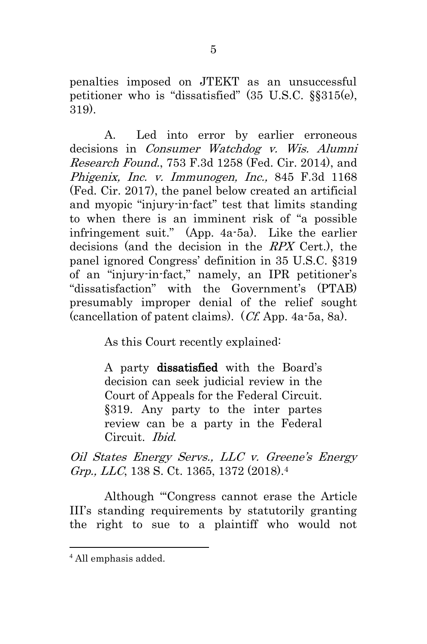<span id="page-13-1"></span>penalties imposed on JTEKT as an unsuccessful petitioner who is "dissatisfied" (35 U.S.C. §§315(e), 319).

A. Led into error by earlier erroneous decisions in Consumer Watchdog v. Wis. Alumni Research Found., 753 F.3d 1258 (Fed. Cir. 2014), and Phigenix, Inc. v. Immunogen, Inc., 845 F.3d 1168 (Fed. Cir. 2017), the panel below created an artificial and myopic "injury-in-fact" test that limits standing to when there is an imminent risk of "a possible infringement suit." (App. 4a-5a). Like the earlier decisions (and the decision in the RPX Cert.), the panel ignored Congress' definition in 35 U.S.C. §319 of an "injury-in-fact," namely, an IPR petitioner's "dissatisfaction" with the Government's (PTAB) presumably improper denial of the relief sought (cancellation of patent claims). (Cf. App. 4a-5a, 8a).

As this Court recently explained:

A party dissatisfied with the Board's decision can seek judicial review in the Court of Appeals for the Federal Circuit. §319. Any party to the inter partes review can be a party in the Federal Circuit. Ibid.

<span id="page-13-0"></span>Oil States Energy Servs., LLC v. Greene's Energy Grp., LLC, 138 S. Ct. 1365, 1372 (2018).<sup>4</sup>

Although "'Congress cannot erase the Article III's standing requirements by statutorily granting the right to sue to a plaintiff who would not

-

<sup>4</sup> All emphasis added.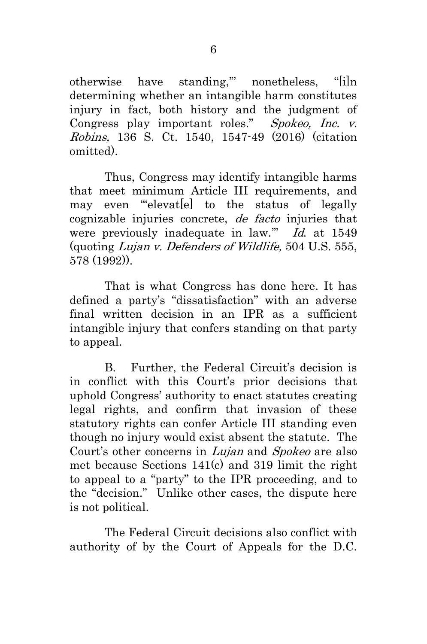otherwise have standing,'" nonetheless, "[i]n determining whether an intangible harm constitutes injury in fact, both history and the judgment of Congress play important roles." Spokeo, Inc. v. Robins, 136 S. Ct. 1540, 1547-49 (2016) (citation omitted).

Thus, Congress may identify intangible harms that meet minimum Article III requirements, and may even "'elevat[e] to the status of legally cognizable injuries concrete, de facto injuries that were previously inadequate in law." Id. at 1549 (quoting Lujan v. Defenders of Wildlife, 504 U.S. 555, 578 (1992)).

That is what Congress has done here. It has defined a party's "dissatisfaction" with an adverse final written decision in an IPR as a sufficient intangible injury that confers standing on that party to appeal.

B. Further, the Federal Circuit's decision is in conflict with this Court's prior decisions that uphold Congress' authority to enact statutes creating legal rights, and confirm that invasion of these statutory rights can confer Article III standing even though no injury would exist absent the statute. The Court's other concerns in Lujan and Spokeo are also met because Sections 141(c) and 319 limit the right to appeal to a "party" to the IPR proceeding, and to the "decision." Unlike other cases, the dispute here is not political.

The Federal Circuit decisions also conflict with authority of by the Court of Appeals for the D.C.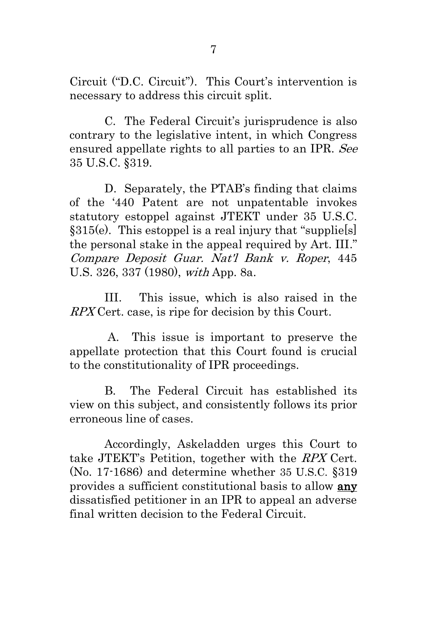Circuit ("D.C. Circuit"). This Court's intervention is necessary to address this circuit split.

C. The Federal Circuit's jurisprudence is also contrary to the legislative intent, in which Congress ensured appellate rights to all parties to an IPR. See 35 U.S.C. §319.

<span id="page-15-1"></span>D. Separately, the PTAB's finding that claims of the '440 Patent are not unpatentable invokes statutory estoppel against JTEKT under 35 U.S.C. §315(e). This estoppel is a real injury that "supplie[s] the personal stake in the appeal required by Art. III." Compare Deposit Guar. Nat'l Bank v. Roper, 445 U.S. 326, 337 (1980), with App. 8a.

<span id="page-15-0"></span>III. This issue, which is also raised in the RPX Cert. case, is ripe for decision by this Court.

A. This issue is important to preserve the appellate protection that this Court found is crucial to the constitutionality of IPR proceedings.

B. The Federal Circuit has established its view on this subject, and consistently follows its prior erroneous line of cases.

Accordingly, Askeladden urges this Court to take JTEKT's Petition, together with the RPX Cert. (No. 17-1686) and determine whether 35 U.S.C. §319 provides a sufficient constitutional basis to allow any dissatisfied petitioner in an IPR to appeal an adverse final written decision to the Federal Circuit.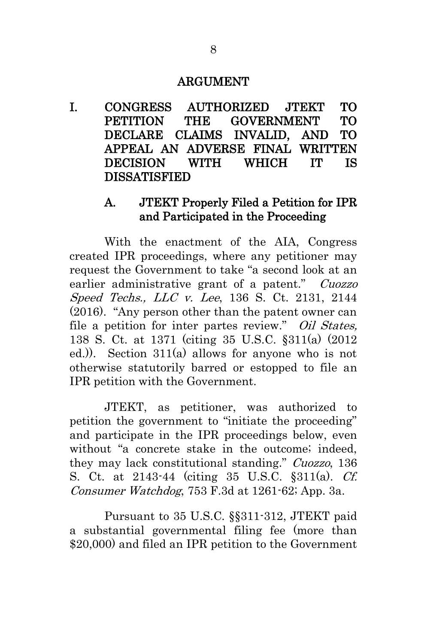#### ARGUMENT

<span id="page-16-1"></span><span id="page-16-0"></span>I. CONGRESS AUTHORIZED JTEKT TO PETITION THE GOVERNMENT TO DECLARE CLAIMS INVALID, AND TO APPEAL AN ADVERSE FINAL WRITTEN DECISION WITH WHICH IT IS DISSATISFIED

#### <span id="page-16-2"></span>A. JTEKT Properly Filed a Petition for IPR and Participated in the Proceeding

With the enactment of the AIA, Congress created IPR proceedings, where any petitioner may request the Government to take "a second look at an earlier administrative grant of a patent." Cuozzo Speed Techs., LLC v. Lee, 136 S. Ct. 2131, 2144 (2016). "Any person other than the patent owner can file a petition for inter partes review." Oil States, 138 S. Ct. at 1371 (citing 35 U.S.C. §311(a) (2012 ed.)). Section 311(a) allows for anyone who is not otherwise statutorily barred or estopped to file an IPR petition with the Government.

<span id="page-16-3"></span>JTEKT, as petitioner, was authorized to petition the government to "initiate the proceeding" and participate in the IPR proceedings below, even without "a concrete stake in the outcome; indeed, they may lack constitutional standing." Cuozzo, 136 S. Ct. at 2143-44 (citing 35 U.S.C. §311(a). Cf. Consumer Watchdog, 753 F.3d at 1261-62; App. 3a.

<span id="page-16-4"></span>Pursuant to 35 U.S.C. §§311-312, JTEKT paid a substantial governmental filing fee (more than \$20,000) and filed an IPR petition to the Government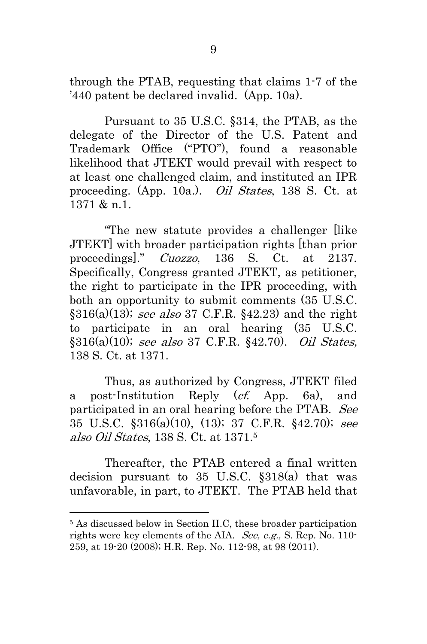through the PTAB, requesting that claims 1-7 of the '440 patent be declared invalid. (App. 10a).

<span id="page-17-0"></span>Pursuant to 35 U.S.C. §314, the PTAB, as the delegate of the Director of the U.S. Patent and Trademark Office ("PTO"), found a reasonable likelihood that JTEKT would prevail with respect to at least one challenged claim, and instituted an IPR proceeding. (App. 10a.). Oil States, 138 S. Ct. at 1371 & n.1.

"The new statute provides a challenger [like JTEKT] with broader participation rights [than prior proceedings]." Cuozzo, 136 S. Ct. at 2137. Specifically, Congress granted JTEKT, as petitioner, the right to participate in the IPR proceeding, with both an opportunity to submit comments (35 U.S.C.  $$316(a)(13)$ ; see also 37 C.F.R.  $$42.23)$  and the right to participate in an oral hearing (35 U.S.C. §316(a)(10); see also 37 C.F.R. §42.70). Oil States, 138 S. Ct. at 1371.

<span id="page-17-4"></span><span id="page-17-3"></span><span id="page-17-1"></span>Thus, as authorized by Congress, JTEKT filed a post-Institution Reply (cf. App. 6a), and participated in an oral hearing before the PTAB. See 35 U.S.C. §316(a)(10), (13); 37 C.F.R. §42.70); see also Oil States, 138 S. Ct. at 1371.<sup>5</sup>

<span id="page-17-2"></span>Thereafter, the PTAB entered a final written decision pursuant to 35 U.S.C. §318(a) that was unfavorable, in part, to JTEKT. The PTAB held that

-

<span id="page-17-6"></span><span id="page-17-5"></span><sup>5</sup> As discussed below in Section II.C, these broader participation rights were key elements of the AIA. See, e.g., S. Rep. No. 110-259, at 19-20 (2008); H.R. Rep. No. 112-98, at 98 (2011).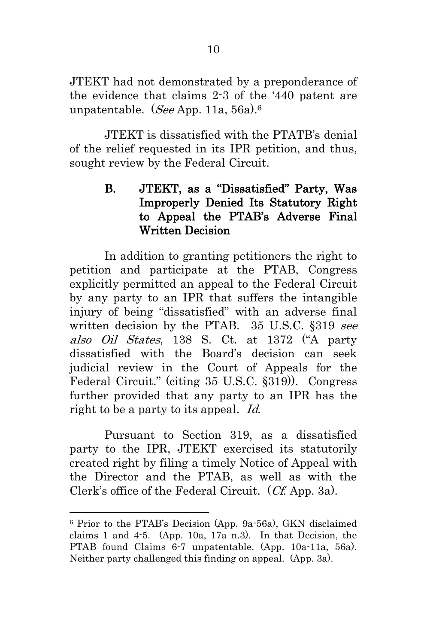JTEKT had not demonstrated by a preponderance of the evidence that claims 2-3 of the '440 patent are unpatentable. (See App. 11a, 56a).<sup>6</sup>

JTEKT is dissatisfied with the PTATB's denial of the relief requested in its IPR petition, and thus, sought review by the Federal Circuit.

### <span id="page-18-0"></span>B. JTEKT, as a "Dissatisfied" Party, Was Improperly Denied Its Statutory Right to Appeal the PTAB's Adverse Final Written Decision

In addition to granting petitioners the right to petition and participate at the PTAB, Congress explicitly permitted an appeal to the Federal Circuit by any party to an IPR that suffers the intangible injury of being "dissatisfied" with an adverse final written decision by the PTAB. 35 U.S.C. §319 see also Oil States, 138 S. Ct. at 1372 ("A party dissatisfied with the Board's decision can seek judicial review in the Court of Appeals for the Federal Circuit." (citing 35 U.S.C. §319)). Congress further provided that any party to an IPR has the right to be a party to its appeal. Id.

Pursuant to Section 319, as a dissatisfied party to the IPR, JTEKT exercised its statutorily created right by filing a timely Notice of Appeal with the Director and the PTAB, as well as with the Clerk's office of the Federal Circuit. (Cf. App. 3a).

-

<sup>6</sup> Prior to the PTAB's Decision (App. 9a-56a), GKN disclaimed claims 1 and 4-5. (App. 10a, 17a n.3). In that Decision, the PTAB found Claims 6-7 unpatentable. (App. 10a-11a, 56a). Neither party challenged this finding on appeal. (App. 3a).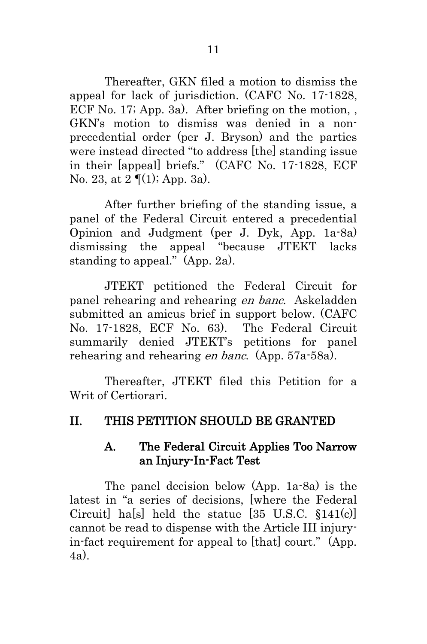Thereafter, GKN filed a motion to dismiss the appeal for lack of jurisdiction. (CAFC No. 17-1828, ECF No. 17; App. 3a). After briefing on the motion, , GKN's motion to dismiss was denied in a nonprecedential order (per J. Bryson) and the parties were instead directed "to address [the] standing issue in their [appeal] briefs." (CAFC No. 17-1828, ECF No. 23, at 2 ¶(1); App. 3a).

After further briefing of the standing issue, a panel of the Federal Circuit entered a precedential Opinion and Judgment (per J. Dyk, App. 1a-8a) dismissing the appeal "because JTEKT lacks standing to appeal." (App. 2a).

JTEKT petitioned the Federal Circuit for panel rehearing and rehearing en banc. Askeladden submitted an amicus brief in support below. (CAFC No. 17-1828, ECF No. 63). The Federal Circuit summarily denied JTEKT's petitions for panel rehearing and rehearing en banc. (App. 57a-58a).

Thereafter, JTEKT filed this Petition for a Writ of Certiorari.

#### <span id="page-19-1"></span><span id="page-19-0"></span>II. THIS PETITION SHOULD BE GRANTED

#### <span id="page-19-2"></span>A. The Federal Circuit Applies Too Narrow an Injury-In-Fact Test

The panel decision below (App. 1a-8a) is the latest in "a series of decisions, [where the Federal Circuit] ha[s] held the statue [35 U.S.C. §141(c)] cannot be read to dispense with the Article III injuryin-fact requirement for appeal to [that] court." (App. 4a).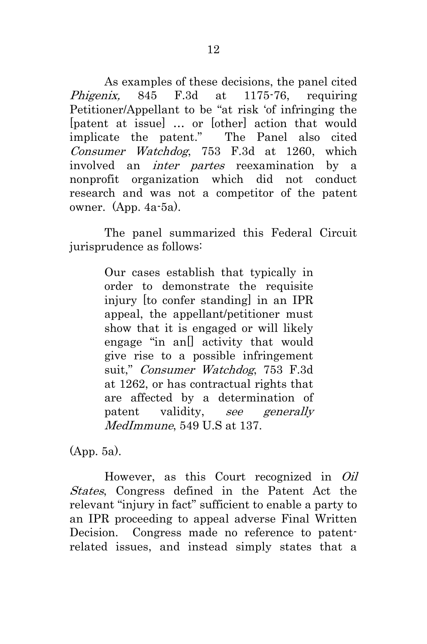As examples of these decisions, the panel cited Phigenix, 845 F.3d at 1175-76, requiring Petitioner/Appellant to be "at risk 'of infringing the [patent at issue] … or [other] action that would implicate the patent." The Panel also cited Consumer Watchdog, 753 F.3d at 1260, which involved an inter partes reexamination by a nonprofit organization which did not conduct research and was not a competitor of the patent owner. (App. 4a-5a).

The panel summarized this Federal Circuit jurisprudence as follows:

> Our cases establish that typically in order to demonstrate the requisite injury [to confer standing] in an IPR appeal, the appellant/petitioner must show that it is engaged or will likely engage "in an<sup>[]</sup> activity that would give rise to a possible infringement suit," Consumer Watchdog, 753 F.3d at 1262, or has contractual rights that are affected by a determination of patent validity, see generally MedImmune, 549 U.S at 137.

(App. 5a).

However, as this Court recognized in Oil States, Congress defined in the Patent Act the relevant "injury in fact" sufficient to enable a party to an IPR proceeding to appeal adverse Final Written Decision. Congress made no reference to patentrelated issues, and instead simply states that a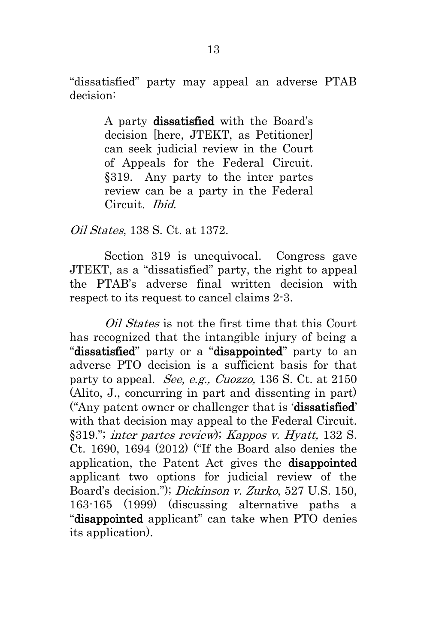"dissatisfied" party may appeal an adverse PTAB decision:

> A party dissatisfied with the Board's decision [here, JTEKT, as Petitioner] can seek judicial review in the Court of Appeals for the Federal Circuit. §319. Any party to the inter partes review can be a party in the Federal Circuit. Ibid.

Oil States, 138 S. Ct. at 1372.

Section 319 is unequivocal. Congress gave JTEKT, as a "dissatisfied" party, the right to appeal the PTAB's adverse final written decision with respect to its request to cancel claims 2-3.

<span id="page-21-1"></span><span id="page-21-0"></span>Oil States is not the first time that this Court has recognized that the intangible injury of being a "dissatisfied" party or a "disappointed" party to an adverse PTO decision is a sufficient basis for that party to appeal. See, e.g., Cuozzo, 136 S. Ct. at 2150 (Alito, J., concurring in part and dissenting in part) ("Any patent owner or challenger that is 'dissatisfied' with that decision may appeal to the Federal Circuit. §319."; inter partes review); Kappos v. Hyatt, 132 S. Ct. 1690, 1694 (2012) ("If the Board also denies the application, the Patent Act gives the disappointed applicant two options for judicial review of the Board's decision."); Dickinson v. Zurko, 527 U.S. 150, 163-165 (1999) (discussing alternative paths a "disappointed applicant" can take when PTO denies its application).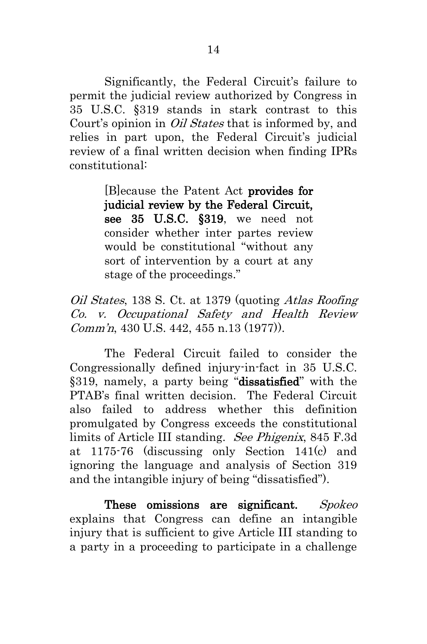Significantly, the Federal Circuit's failure to permit the judicial review authorized by Congress in 35 U.S.C. §319 stands in stark contrast to this Court's opinion in Oil States that is informed by, and relies in part upon, the Federal Circuit's judicial review of a final written decision when finding IPRs constitutional:

> <span id="page-22-0"></span>[B]ecause the Patent Act provides for judicial review by the Federal Circuit, see 35 U.S.C. §319, we need not consider whether inter partes review would be constitutional "without any sort of intervention by a court at any stage of the proceedings."

Oil States, 138 S. Ct. at 1379 (quoting Atlas Roofing Co. v. Occupational Safety and Health Review Comm'n, 430 U.S. 442, 455 n.13 (1977)).

The Federal Circuit failed to consider the Congressionally defined injury-in-fact in 35 U.S.C. §319, namely, a party being "dissatisfied" with the PTAB's final written decision. The Federal Circuit also failed to address whether this definition promulgated by Congress exceeds the constitutional limits of Article III standing. See Phigenix, 845 F.3d at 1175-76 (discussing only Section 141(c) and ignoring the language and analysis of Section 319 and the intangible injury of being "dissatisfied").

These omissions are significant. Spokeo explains that Congress can define an intangible injury that is sufficient to give Article III standing to a party in a proceeding to participate in a challenge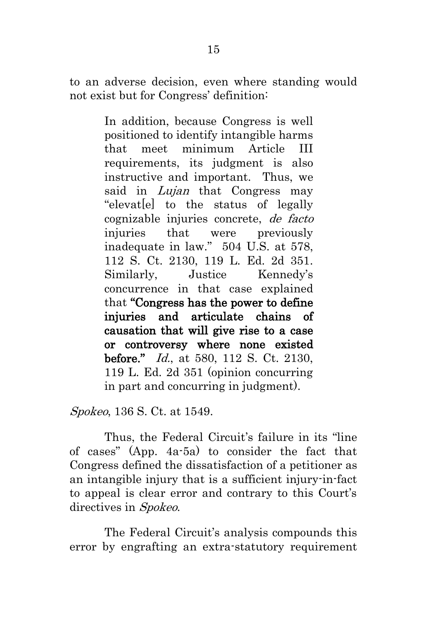to an adverse decision, even where standing would not exist but for Congress' definition:

> In addition, because Congress is well positioned to identify intangible harms that meet minimum Article III requirements, its judgment is also instructive and important. Thus, we said in *Lujan* that Congress may "elevat[e] to the status of legally cognizable injuries concrete, de facto injuries that were previously inadequate in law." 504 U.S. at 578, 112 S. Ct. 2130, 119 L. Ed. 2d 351. Similarly, Justice Kennedy's concurrence in that case explained that "Congress has the power to define injuries and articulate chains of causation that will give rise to a case or controversy where none existed before." *Id.*, at 580, 112 S. Ct. 2130, 119 L. Ed. 2d 351 (opinion concurring in part and concurring in judgment).

Spokeo, 136 S. Ct. at 1549.

Thus, the Federal Circuit's failure in its "line of cases" (App. 4a-5a) to consider the fact that Congress defined the dissatisfaction of a petitioner as an intangible injury that is a sufficient injury-in-fact to appeal is clear error and contrary to this Court's directives in *Spokeo*.

The Federal Circuit's analysis compounds this error by engrafting an extra-statutory requirement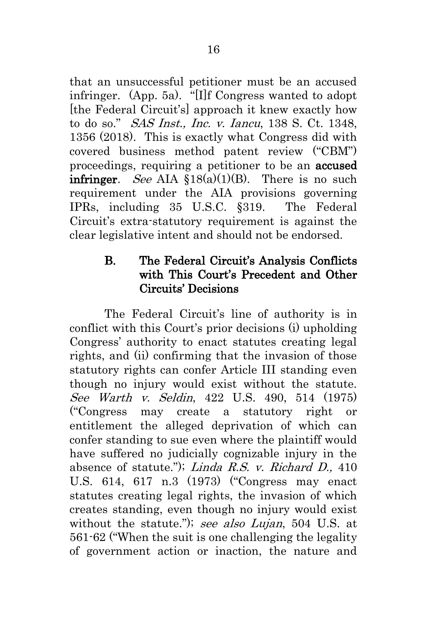<span id="page-24-2"></span>that an unsuccessful petitioner must be an accused infringer. (App. 5a). "[I]f Congress wanted to adopt [the Federal Circuit's] approach it knew exactly how to do so." SAS Inst., Inc. v. Iancu, 138 S. Ct. 1348, 1356 (2018). This is exactly what Congress did with covered business method patent review ("CBM") proceedings, requiring a petitioner to be an accused **infringer.** See AIA  $$18(a)(1)(B)$ . There is no such requirement under the AIA provisions governing IPRs, including 35 U.S.C. §319. The Federal Circuit's extra-statutory requirement is against the clear legislative intent and should not be endorsed.

#### <span id="page-24-4"></span><span id="page-24-0"></span>B. The Federal Circuit's Analysis Conflicts with This Court's Precedent and Other Circuits' Decisions

<span id="page-24-3"></span><span id="page-24-1"></span>The Federal Circuit's line of authority is in conflict with this Court's prior decisions (i) upholding Congress' authority to enact statutes creating legal rights, and (ii) confirming that the invasion of those statutory rights can confer Article III standing even though no injury would exist without the statute. See Warth v. Seldin, 422 U.S. 490, 514 (1975) ("Congress may create a statutory right or entitlement the alleged deprivation of which can confer standing to sue even where the plaintiff would have suffered no judicially cognizable injury in the absence of statute."); Linda R.S. v. Richard D., 410 U.S. 614, 617 n.3 (1973) ("Congress may enact statutes creating legal rights, the invasion of which creates standing, even though no injury would exist without the statute."); see also Lujan, 504 U.S. at 561-62 ("When the suit is one challenging the legality of government action or inaction, the nature and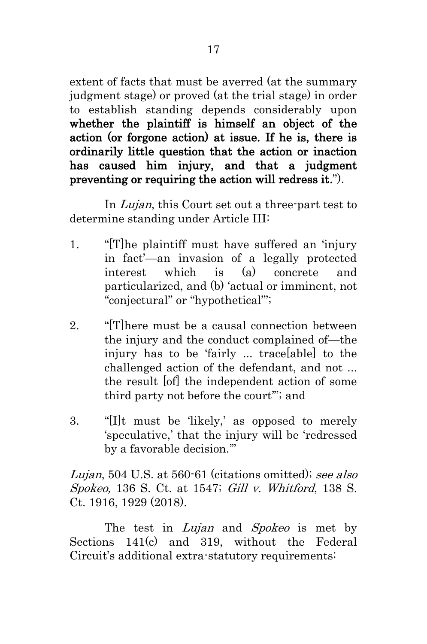extent of facts that must be averred (at the summary judgment stage) or proved (at the trial stage) in order to establish standing depends considerably upon whether the plaintiff is himself an object of the action (or forgone action) at issue. If he is, there is ordinarily little question that the action or inaction has caused him injury, and that a judgment preventing or requiring the action will redress it.").

In Lujan, this Court set out a three-part test to determine standing under Article III:

- 1. "[T]he plaintiff must have suffered an 'injury in fact'—an invasion of a legally protected interest which is (a) concrete and particularized, and (b) 'actual or imminent, not "conjectural" or "hypothetical"';
- 2. "[T]here must be a causal connection between the injury and the conduct complained of—the injury has to be 'fairly ... trace[able] to the challenged action of the defendant, and not ... the result [of] the independent action of some third party not before the court'"; and
- 3. "[I]t must be 'likely,' as opposed to merely 'speculative,' that the injury will be 'redressed by a favorable decision.'"

<span id="page-25-0"></span>Lujan, 504 U.S. at 560-61 (citations omitted); see also Spokeo, 136 S. Ct. at 1547; Gill v. Whitford, 138 S. Ct. 1916, 1929 (2018).

The test in *Lujan* and *Spokeo* is met by Sections 141(c) and 319, without the Federal Circuit's additional extra-statutory requirements: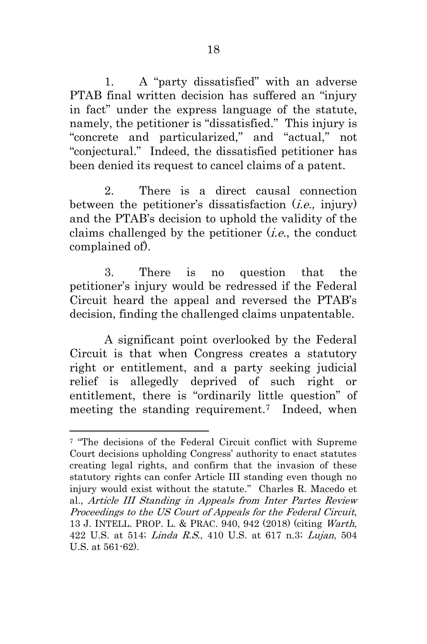1. A "party dissatisfied" with an adverse PTAB final written decision has suffered an "injury in fact" under the express language of the statute, namely, the petitioner is "dissatisfied." This injury is "concrete and particularized," and "actual," not "conjectural." Indeed, the dissatisfied petitioner has been denied its request to cancel claims of a patent.

2. There is a direct causal connection between the petitioner's dissatisfaction  $(i.e.,$  injury) and the PTAB's decision to uphold the validity of the claims challenged by the petitioner  $(i.e.,$  the conduct complained of).

3. There is no question that the petitioner's injury would be redressed if the Federal Circuit heard the appeal and reversed the PTAB's decision, finding the challenged claims unpatentable.

A significant point overlooked by the Federal Circuit is that when Congress creates a statutory right or entitlement, and a party seeking judicial relief is allegedly deprived of such right or entitlement, there is "ordinarily little question" of meeting the standing requirement.<sup>7</sup> Indeed, when

1

<sup>7</sup> "The decisions of the Federal Circuit conflict with Supreme Court decisions upholding Congress' authority to enact statutes creating legal rights, and confirm that the invasion of these statutory rights can confer Article III standing even though no injury would exist without the statute." Charles R. Macedo et al., Article III Standing in Appeals from Inter Partes Review Proceedings to the US Court of Appeals for the Federal Circuit, 13 J. INTELL. PROP. L. & PRAC. 940, 942 (2018) (citing Warth, 422 U.S. at 514; Linda R.S., 410 U.S. at 617 n.3; Lujan, 504 U.S. at 561-62).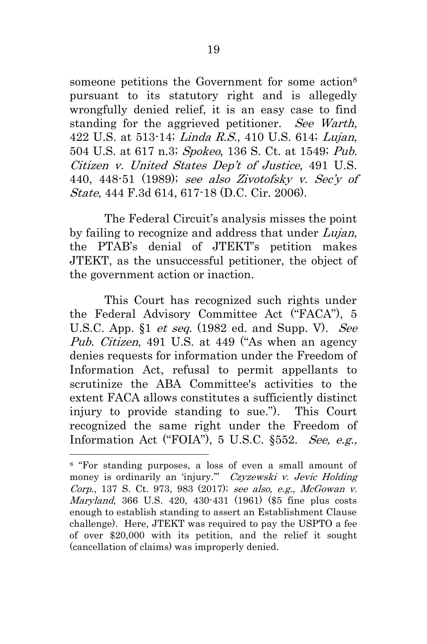<span id="page-27-3"></span><span id="page-27-1"></span>someone petitions the Government for some action<sup>8</sup> pursuant to its statutory right and is allegedly wrongfully denied relief, it is an easy case to find standing for the aggrieved petitioner. See Warth, 422 U.S. at 513-14; Linda R.S., 410 U.S. 614; Lujan, 504 U.S. at 617 n.3; Spokeo, 136 S. Ct. at 1549; Pub. Citizen v. United States Dep't of Justice, 491 U.S. 440, 448-51 (1989); see also Zivotofsky v. Sec'y of State, 444 F.3d 614, 617-18 (D.C. Cir. 2006).

<span id="page-27-4"></span>The Federal Circuit's analysis misses the point by failing to recognize and address that under Lujan, the PTAB's denial of JTEKT's petition makes JTEKT, as the unsuccessful petitioner, the object of the government action or inaction.

<span id="page-27-5"></span><span id="page-27-2"></span>This Court has recognized such rights under the Federal Advisory Committee Act ("FACA"), 5 U.S.C. App.  $$1 \text{ et seq.}$  (1982 ed. and Supp. V). See Pub. Citizen, 491 U.S. at 449 ("As when an agency denies requests for information under the Freedom of Information Act, refusal to permit appellants to scrutinize the ABA Committee's activities to the extent FACA allows constitutes a sufficiently distinct injury to provide standing to sue."). This Court recognized the same right under the Freedom of Information Act ("FOIA"), 5 U.S.C. §552. See, e.g.,

<span id="page-27-6"></span>1

<span id="page-27-0"></span><sup>8</sup> "For standing purposes, a loss of even a small amount of money is ordinarily an 'injury." Czyzewski v. Jevic Holding Corp., 137 S. Ct. 973, 983 (2017); see also, e.g., McGowan v. Maryland, 366 U.S. 420, 430-431 (1961) (\$5 fine plus costs enough to establish standing to assert an Establishment Clause challenge). Here, JTEKT was required to pay the USPTO a fee of over \$20,000 with its petition, and the relief it sought (cancellation of claims) was improperly denied.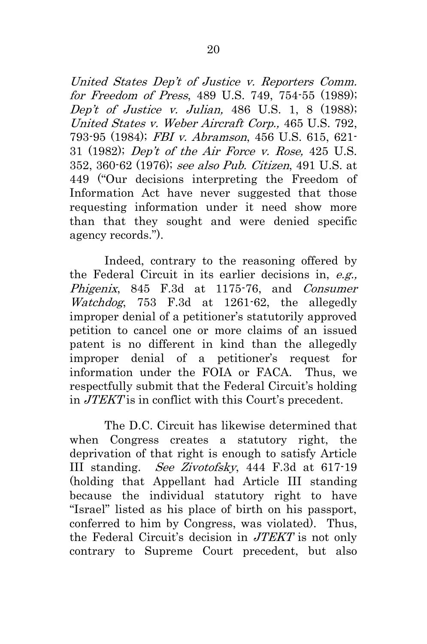<span id="page-28-4"></span><span id="page-28-3"></span><span id="page-28-2"></span><span id="page-28-1"></span><span id="page-28-0"></span>United States Dep't of Justice v. Reporters Comm. for Freedom of Press, 489 U.S. 749, 754-55 (1989); Dep't of Justice v. Julian, 486 U.S. 1, 8 (1988); United States v. Weber Aircraft Corp., 465 U.S. 792, 793-95 (1984); FBI v. Abramson, 456 U.S. 615, 621- 31 (1982); Dep't of the Air Force v. Rose, 425 U.S. 352, 360-62 (1976); see also Pub. Citizen, 491 U.S. at 449 ("Our decisions interpreting the Freedom of Information Act have never suggested that those requesting information under it need show more than that they sought and were denied specific agency records.").

Indeed, contrary to the reasoning offered by the Federal Circuit in its earlier decisions in, e.g., Phigenix, 845 F.3d at 1175-76, and Consumer Watchdog, 753 F.3d at 1261-62, the allegedly improper denial of a petitioner's statutorily approved petition to cancel one or more claims of an issued patent is no different in kind than the allegedly improper denial of a petitioner's request for information under the FOIA or FACA. Thus, we respectfully submit that the Federal Circuit's holding in JTEKT is in conflict with this Court's precedent.

<span id="page-28-5"></span>The D.C. Circuit has likewise determined that when Congress creates a statutory right, the deprivation of that right is enough to satisfy Article III standing. See Zivotofsky, 444 F.3d at 617-19 (holding that Appellant had Article III standing because the individual statutory right to have "Israel" listed as his place of birth on his passport, conferred to him by Congress, was violated). Thus, the Federal Circuit's decision in JTEKT is not only contrary to Supreme Court precedent, but also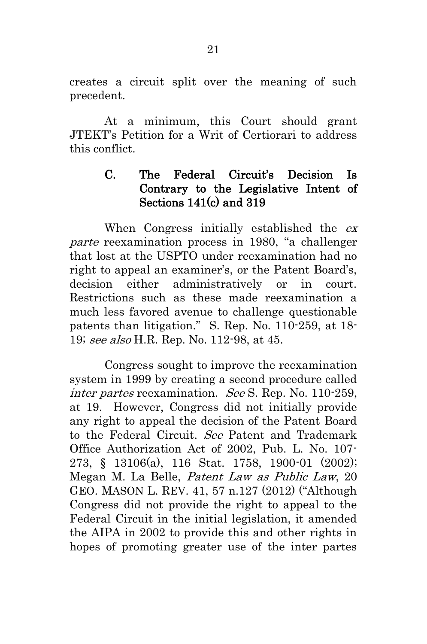creates a circuit split over the meaning of such precedent.

At a minimum, this Court should grant JTEKT's Petition for a Writ of Certiorari to address this conflict.

#### <span id="page-29-0"></span>C. The Federal Circuit's Decision Is Contrary to the Legislative Intent of Sections 141(c) and 319

When Congress initially established the  $ex$ parte reexamination process in 1980, "a challenger that lost at the USPTO under reexamination had no right to appeal an examiner's, or the Patent Board's, decision either administratively or in court. Restrictions such as these made reexamination a much less favored avenue to challenge questionable patents than litigation." S. Rep. No. 110-259, at 18- 19; see also H.R. Rep. No. 112-98, at 45.

<span id="page-29-1"></span>Congress sought to improve the reexamination system in 1999 by creating a second procedure called inter partes reexamination. See S. Rep. No. 110-259, at 19. However, Congress did not initially provide any right to appeal the decision of the Patent Board to the Federal Circuit. See Patent and Trademark Office Authorization Act of 2002, Pub. L. No. 107- 273, § 13106(a), 116 Stat. 1758, 1900-01 (2002); Megan M. La Belle, Patent Law as Public Law, 20 GEO. MASON L. REV. 41, 57 n.127 (2012) ("Although Congress did not provide the right to appeal to the Federal Circuit in the initial legislation, it amended the AIPA in 2002 to provide this and other rights in hopes of promoting greater use of the inter partes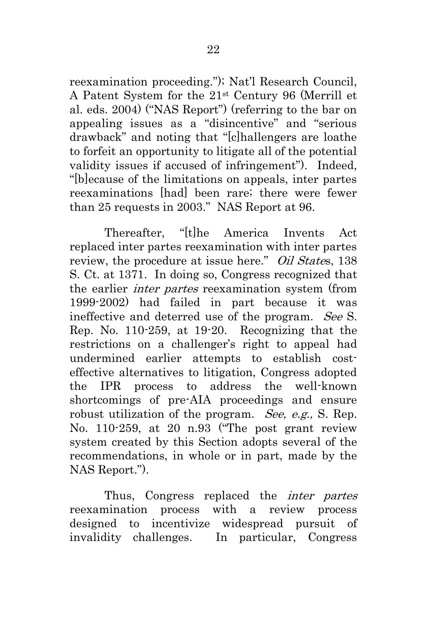reexamination proceeding."); Nat'l Research Council, A Patent System for the 21st Century 96 (Merrill et al. eds. 2004) ("NAS Report") (referring to the bar on appealing issues as a "disincentive" and "serious drawback" and noting that "[c]hallengers are loathe to forfeit an opportunity to litigate all of the potential validity issues if accused of infringement"). Indeed, "[b]ecause of the limitations on appeals, inter partes reexaminations [had] been rare; there were fewer than 25 requests in 2003." NAS Report at 96.

Thereafter, "[t]he America Invents Act replaced inter partes reexamination with inter partes review, the procedure at issue here." Oil States, 138 S. Ct. at 1371. In doing so, Congress recognized that the earlier inter partes reexamination system (from 1999-2002) had failed in part because it was ineffective and deterred use of the program. See S. Rep. No. 110-259, at 19-20. Recognizing that the restrictions on a challenger's right to appeal had undermined earlier attempts to establish costeffective alternatives to litigation, Congress adopted the IPR process to address the well-known shortcomings of pre-AIA proceedings and ensure robust utilization of the program. See, e.g., S. Rep. No. 110-259, at 20 n.93 ("The post grant review system created by this Section adopts several of the recommendations, in whole or in part, made by the NAS Report.").

Thus, Congress replaced the inter partes reexamination process with a review process designed to incentivize widespread pursuit of invalidity challenges. In particular, Congress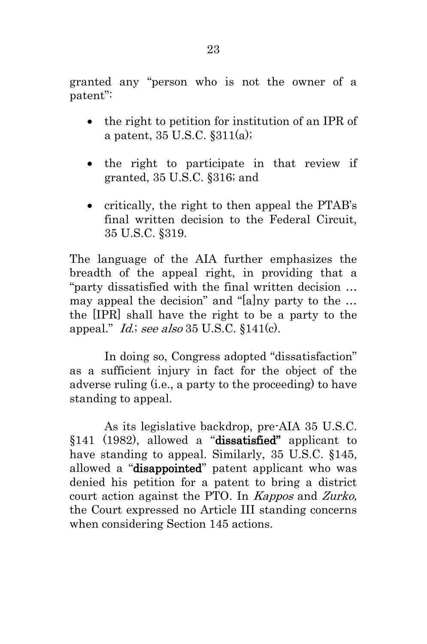granted any "person who is not the owner of a patent":

- <span id="page-31-3"></span>• the right to petition for institution of an IPR of a patent, 35 U.S.C. §311(a);
- <span id="page-31-4"></span>• the right to participate in that review if granted, 35 U.S.C. §316; and
- critically, the right to then appeal the PTAB's final written decision to the Federal Circuit, 35 U.S.C. §319.

The language of the AIA further emphasizes the breadth of the appeal right, in providing that a "party dissatisfied with the final written decision … may appeal the decision" and "[a]ny party to the … the [IPR] shall have the right to be a party to the appeal."  $Id$ ; see also 35 U.S.C. §141(c).

<span id="page-31-1"></span>In doing so, Congress adopted "dissatisfaction" as a sufficient injury in fact for the object of the adverse ruling (i.e., a party to the proceeding) to have standing to appeal.

<span id="page-31-2"></span><span id="page-31-0"></span>As its legislative backdrop, pre-AIA 35 U.S.C. §141 (1982), allowed a "dissatisfied" applicant to have standing to appeal. Similarly, 35 U.S.C. §145, allowed a "disappointed" patent applicant who was denied his petition for a patent to bring a district court action against the PTO. In Kappos and Zurko, the Court expressed no Article III standing concerns when considering Section 145 actions.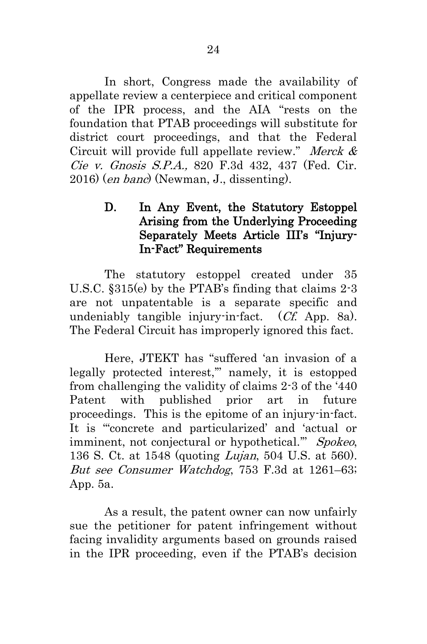In short, Congress made the availability of appellate review a centerpiece and critical component of the IPR process, and the AIA "rests on the foundation that PTAB proceedings will substitute for district court proceedings, and that the Federal Circuit will provide full appellate review." Merck  $\&$ Cie v. Gnosis S.P.A., 820 F.3d 432, 437 (Fed. Cir. 2016) (en banc) (Newman, J., dissenting).

#### <span id="page-32-2"></span><span id="page-32-1"></span><span id="page-32-0"></span>D. In Any Event, the Statutory Estoppel Arising from the Underlying Proceeding Separately Meets Article III's "Injury-In-Fact" Requirements

The statutory estoppel created under 35 U.S.C. §315(e) by the PTAB's finding that claims 2-3 are not unpatentable is a separate specific and undeniably tangible injury-in-fact. (Cf. App. 8a). The Federal Circuit has improperly ignored this fact.

Here, JTEKT has "suffered 'an invasion of a legally protected interest,'" namely, it is estopped from challenging the validity of claims 2-3 of the '440 Patent with published prior art in future proceedings. This is the epitome of an injury-in-fact. It is "'concrete and particularized' and 'actual or imminent, not conjectural or hypothetical." Spokeo, 136 S. Ct. at 1548 (quoting Lujan, 504 U.S. at 560). But see Consumer Watchdog, 753 F.3d at 1261–63; App. 5a.

As a result, the patent owner can now unfairly sue the petitioner for patent infringement without facing invalidity arguments based on grounds raised in the IPR proceeding, even if the PTAB's decision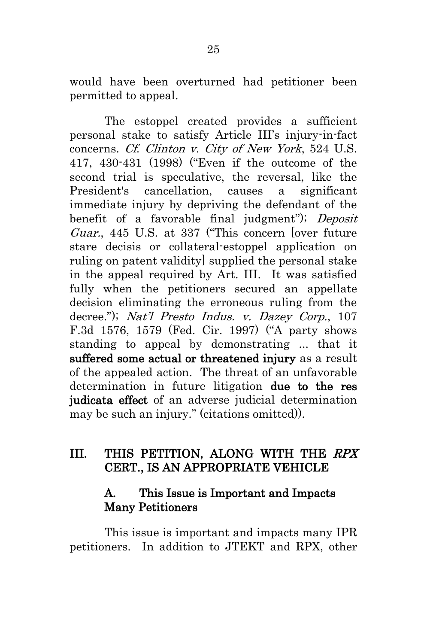would have been overturned had petitioner been permitted to appeal.

<span id="page-33-3"></span><span id="page-33-2"></span>The estoppel created provides a sufficient personal stake to satisfy Article III's injury-in-fact concerns. Cf. Clinton v. City of New York, 524 U.S. 417, 430-431 (1998) ("Even if the outcome of the second trial is speculative, the reversal, like the President's cancellation, causes a significant immediate injury by depriving the defendant of the benefit of a favorable final judgment"); Deposit Guar., 445 U.S. at 337 ("This concern [over future stare decisis or collateral-estoppel application on ruling on patent validity] supplied the personal stake in the appeal required by Art. III. It was satisfied fully when the petitioners secured an appellate decision eliminating the erroneous ruling from the decree."); Nat'l Presto Indus. v. Dazey Corp., 107 F.3d 1576, 1579 (Fed. Cir. 1997) ("A party shows standing to appeal by demonstrating ... that it suffered some actual or threatened injury as a result of the appealed action. The threat of an unfavorable determination in future litigation due to the res judicata effect of an adverse judicial determination may be such an injury." (citations omitted)).

## <span id="page-33-0"></span>III. THIS PETITION, ALONG WITH THE RPX CERT., IS AN APPROPRIATE VEHICLE

### <span id="page-33-1"></span>A. This Issue is Important and Impacts Many Petitioners

This issue is important and impacts many IPR petitioners. In addition to JTEKT and RPX, other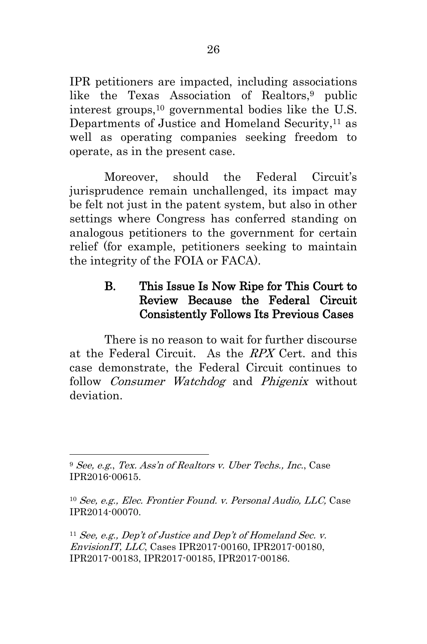IPR petitioners are impacted, including associations like the Texas Association of Realtors, <sup>9</sup> public interest groups,<sup>10</sup> governmental bodies like the U.S. Departments of Justice and Homeland Security, <sup>11</sup> as well as operating companies seeking freedom to operate, as in the present case.

Moreover, should the Federal Circuit's jurisprudence remain unchallenged, its impact may be felt not just in the patent system, but also in other settings where Congress has conferred standing on analogous petitioners to the government for certain relief (for example, petitioners seeking to maintain the integrity of the FOIA or FACA).

#### <span id="page-34-0"></span>B. This Issue Is Now Ripe for This Court to Review Because the Federal Circuit Consistently Follows Its Previous Cases

There is no reason to wait for further discourse at the Federal Circuit. As the RPX Cert. and this case demonstrate, the Federal Circuit continues to follow *Consumer Watchdog* and *Phigenix* without deviation.

1

<sup>11</sup> See, e.g., Dep't of Justice and Dep't of Homeland Sec. v. EnvisionIT, LLC, Cases IPR2017-00160, IPR2017-00180, IPR2017-00183, IPR2017-00185, IPR2017-00186.

<sup>9</sup> See, e.g., Tex. Ass'n of Realtors v. Uber Techs., Inc., Case IPR2016-00615.

<sup>10</sup> See, e.g., Elec. Frontier Found. v. Personal Audio, LLC, Case IPR2014-00070.